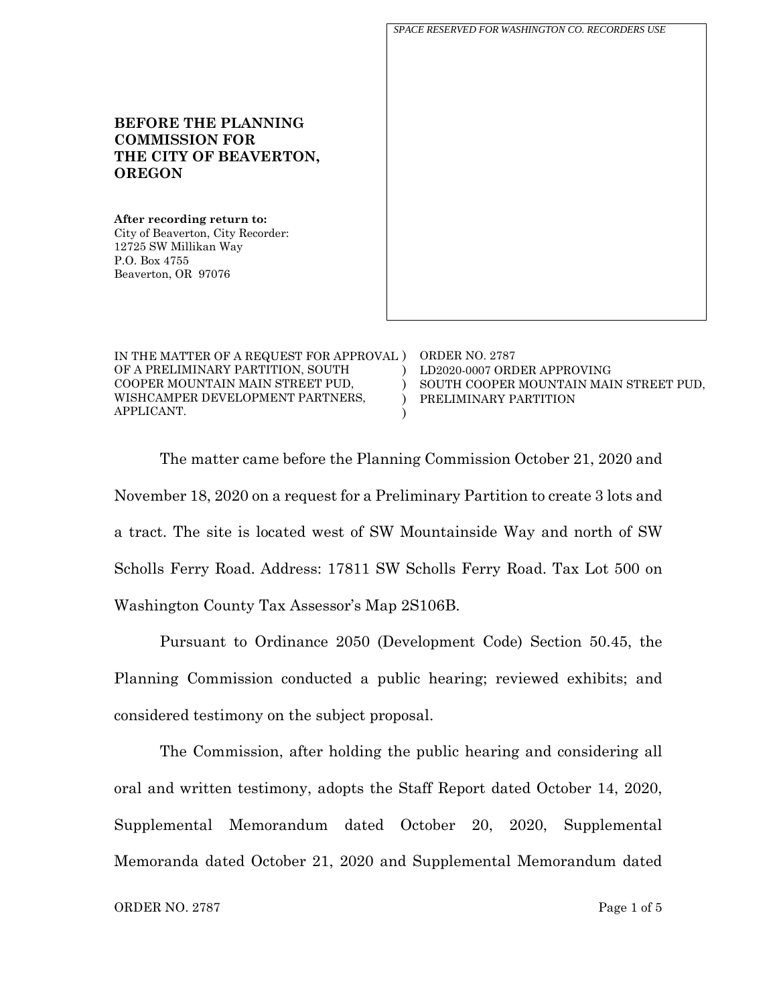**BEFORE THE PLANNING COMMISSION FOR THE CITY OF BEAVERTON, OREGON After recording return to:** City of Beaverton, City Recorder: 12725 SW Millikan Way P.O. Box 4755 Beaverton, OR 97076 IN THE MATTER OF A REQUEST FOR APPROVAL ) ORDER NO. 2787  $\lambda$ LD2020-0007 ORDER APPROVING *SPACE RESERVED FOR WASHINGTON CO. RECORDERS USE*

OF A PRELIMINARY PARTITION, SOUTH COOPER MOUNTAIN MAIN STREET PUD, WISHCAMPER DEVELOPMENT PARTNERS, APPLICANT.

 $\lambda$  $\lambda$ ) SOUTH COOPER MOUNTAIN MAIN STREET PUD, PRELIMINARY PARTITION

The matter came before the Planning Commission October 21, 2020 and November 18, 2020 on a request for a Preliminary Partition to create 3 lots and a tract. The site is located west of SW Mountainside Way and north of SW Scholls Ferry Road. Address: 17811 SW Scholls Ferry Road. Tax Lot 500 on Washington County Tax Assessor's Map 2S106B.

Pursuant to Ordinance 2050 (Development Code) Section 50.45, the Planning Commission conducted a public hearing; reviewed exhibits; and considered testimony on the subject proposal.

The Commission, after holding the public hearing and considering all oral and written testimony, adopts the Staff Report dated October 14, 2020, Supplemental Memorandum dated October 20, 2020, Supplemental Memoranda dated October 21, 2020 and Supplemental Memorandum dated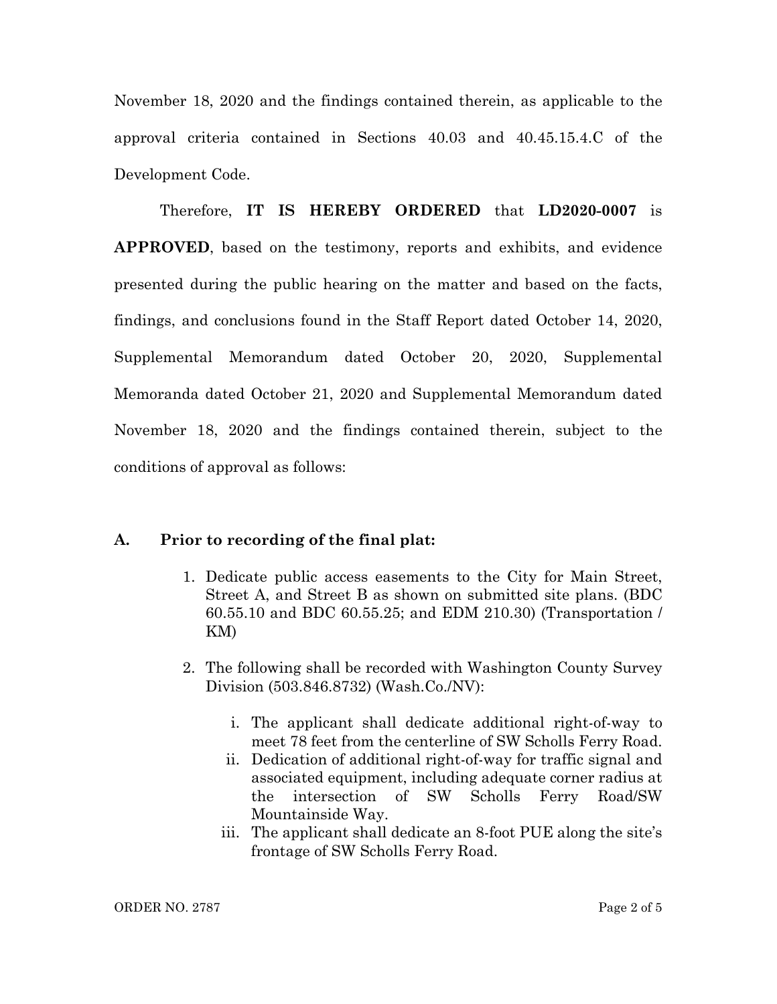November 18, 2020 and the findings contained therein, as applicable to the approval criteria contained in Sections 40.03 and 40.45.15.4.C of the Development Code.

Therefore, **IT IS HEREBY ORDERED** that **LD2020-0007** is **APPROVED**, based on the testimony, reports and exhibits, and evidence presented during the public hearing on the matter and based on the facts, findings, and conclusions found in the Staff Report dated October 14, 2020, Supplemental Memorandum dated October 20, 2020, Supplemental Memoranda dated October 21, 2020 and Supplemental Memorandum dated November 18, 2020 and the findings contained therein, subject to the conditions of approval as follows:

## **A. Prior to recording of the final plat:**

- 1. Dedicate public access easements to the City for Main Street, Street A, and Street B as shown on submitted site plans. (BDC 60.55.10 and BDC 60.55.25; and EDM 210.30) (Transportation / KM)
- 2. The following shall be recorded with Washington County Survey Division (503.846.8732) (Wash.Co./NV):
	- i. The applicant shall dedicate additional right-of-way to meet 78 feet from the centerline of SW Scholls Ferry Road.
	- ii. Dedication of additional right-of-way for traffic signal and associated equipment, including adequate corner radius at the intersection of SW Scholls Ferry Road/SW Mountainside Way.
	- iii. The applicant shall dedicate an 8-foot PUE along the site's frontage of SW Scholls Ferry Road.

ORDER NO. 2787 Page 2 of 5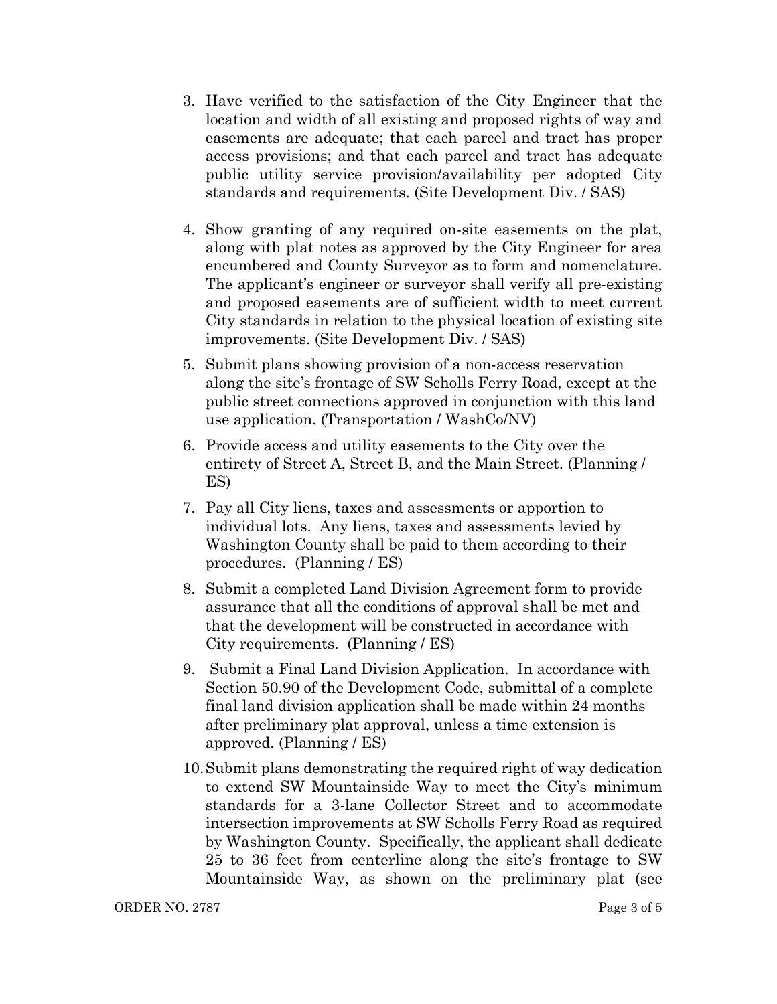- 3. Have verified to the satisfaction of the City Engineer that the location and width of all existing and proposed rights of way and easements are adequate; that each parcel and tract has proper access provisions; and that each parcel and tract has adequate public utility service provision/availability per adopted City standards and requirements. (Site Development Div. / SAS)
- 4. Show granting of any required on-site easements on the plat, along with plat notes as approved by the City Engineer for area encumbered and County Surveyor as to form and nomenclature. The applicant's engineer or surveyor shall verify all pre-existing and proposed easements are of sufficient width to meet current City standards in relation to the physical location of existing site improvements. (Site Development Div. / SAS)
- 5. Submit plans showing provision of a non-access reservation along the site's frontage of SW Scholls Ferry Road, except at the public street connections approved in conjunction with this land use application. (Transportation / WashCo/NV)
- 6. Provide access and utility easements to the City over the entirety of Street A, Street B, and the Main Street. (Planning / ES)
- 7. Pay all City liens, taxes and assessments or apportion to individual lots. Any liens, taxes and assessments levied by Washington County shall be paid to them according to their procedures. (Planning / ES)
- 8. Submit a completed Land Division Agreement form to provide assurance that all the conditions of approval shall be met and that the development will be constructed in accordance with City requirements. (Planning / ES)
- 9. Submit a Final Land Division Application. In accordance with Section 50.90 of the Development Code, submittal of a complete final land division application shall be made within 24 months after preliminary plat approval, unless a time extension is approved. (Planning / ES)
- 10.Submit plans demonstrating the required right of way dedication to extend SW Mountainside Way to meet the City's minimum standards for a 3-lane Collector Street and to accommodate intersection improvements at SW Scholls Ferry Road as required by Washington County. Specifically, the applicant shall dedicate 25 to 36 feet from centerline along the site's frontage to SW Mountainside Way, as shown on the preliminary plat (see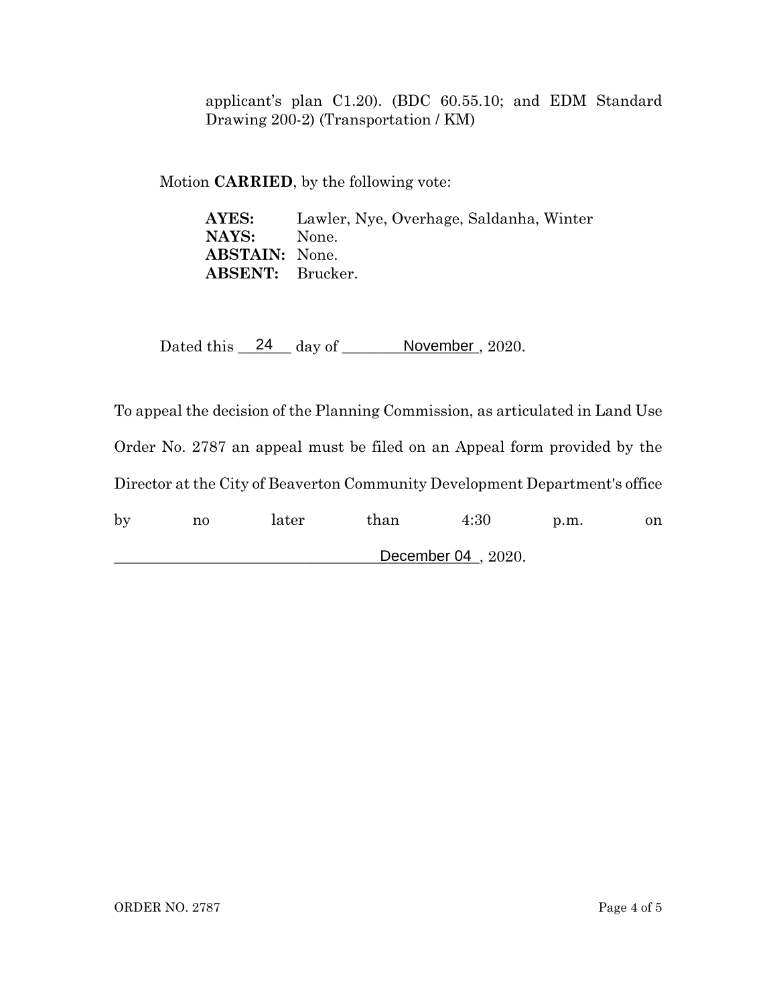applicant's plan C1.20). (BDC 60.55.10; and EDM Standard Drawing 200-2) (Transportation / KM)

Motion **CARRIED**, by the following vote:

**AYES:** Lawler, Nye, Overhage, Saldanha, Winter **NAYS:** None. **ABSTAIN:** None. **ABSENT:** Brucker.

Dated this  $\frac{24}{4}$  day of  $\frac{N}{2020}$ .

To appeal the decision of the Planning Commission, as articulated in Land Use Order No. 2787 an appeal must be filed on an Appeal form provided by the Director at the City of Beaverton Community Development Department's office by no later than 4:30 p.m. on

\_\_\_\_\_\_\_\_\_\_\_\_\_\_\_\_\_\_\_\_\_\_\_\_\_\_\_\_\_\_\_\_\_\_\_\_\_\_\_\_\_\_\_\_\_\_\_\_, 2020. December 04